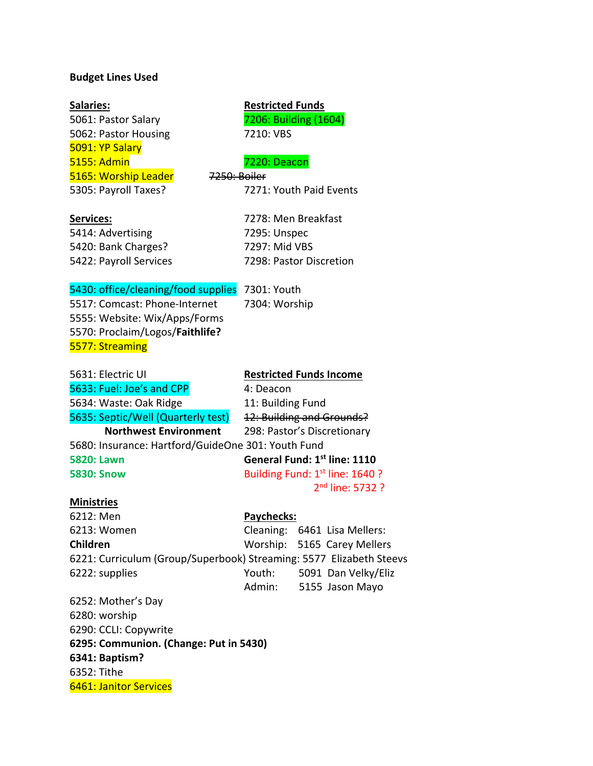### **Budget Lines Used**

5061: Pastor Salary 7206: Building (1604) 5062: Pastor Housing 7210: VBS 5091: YP Salary 5155: Admin 7220: Deacon 5165: Worship Leader 7250: Boiler

5305: Payroll Taxes? 7271: Youth Paid Events

## **Salaries: Restricted Funds**

| Services: |  |  |  |  |
|-----------|--|--|--|--|
|           |  |  |  |  |

5414: Advertising 7295: Unspec 5420: Bank Charges? 7297: Mid VBS 5422: Payroll Services 7298: Pastor Discretion

**Services:** 7278: Men Breakfast

### 5430: office/cleaning/food supplies 7301: Youth

5517: Comcast: Phone-Internet 7304: Worship 5555: Website: Wix/Apps/Forms 5570: Proclaim/Logos/**Faithlife?** 5577: Streaming

5631: Electric UI **Restricted Funds Income** 5633: Fuel: Joe's and CPP 4: Deacon 5634: Waste: Oak Ridge 11: Building Fund 5635: Septic/Well (Quarterly test) 12: Building and Grounds? **Northwest Environment** 298: Pastor's Discretionary 5680: Insurance: Hartford/GuideOne 301: Youth Fund **5820: Lawn General Fund: 1st line: 1110 5830: Snow Building Fund: 1st line: 1640 ?** 2nd line: 5732 ?

### **Ministries**

6212: Men **Paychecks:**

6213: Women Cleaning: 6461 Lisa Mellers: **Children** Worship: 5165 Carey Mellers

6221: Curriculum (Group/Superbook) Streaming: 5577 Elizabeth Steevs 6222: supplies Youth: 5091 Dan Velky/Eliz

Admin: 5155 Jason Mayo

6252: Mother's Day 6280: worship 6290: CCLI: Copywrite **6295: Communion. (Change: Put in 5430) 6341: Baptism?** 6352: Tithe 6461: Janitor Services